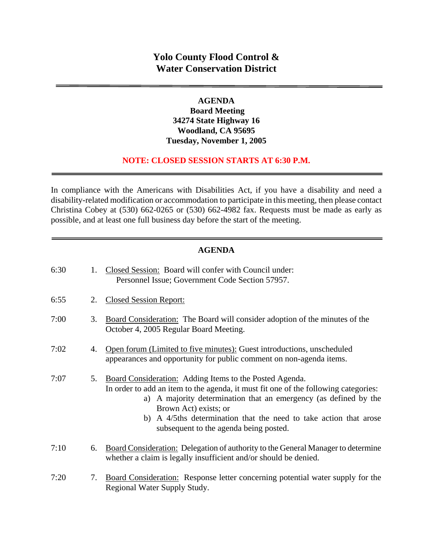### **AGENDA**

 **Board Meeting 34274 State Highway 16 Woodland, CA 95695 Tuesday, November 1, 2005** 

#### **NOTE: CLOSED SESSION STARTS AT 6:30 P.M.**

In compliance with the Americans with Disabilities Act, if you have a disability and need a disability-related modification or accommodation to participate in this meeting, then please contact Christina Cobey at (530) 662-0265 or (530) 662-4982 fax. Requests must be made as early as possible, and at least one full business day before the start of the meeting.

#### **AGENDA**

| 6:30 | 1. | Closed Session: Board will confer with Council under:<br>Personnel Issue; Government Code Section 57957.                                                                                                                                                                                                                                                   |
|------|----|------------------------------------------------------------------------------------------------------------------------------------------------------------------------------------------------------------------------------------------------------------------------------------------------------------------------------------------------------------|
| 6:55 | 2. | <b>Closed Session Report:</b>                                                                                                                                                                                                                                                                                                                              |
| 7:00 | 3. | Board Consideration: The Board will consider adoption of the minutes of the<br>October 4, 2005 Regular Board Meeting.                                                                                                                                                                                                                                      |
| 7:02 | 4. | Open forum (Limited to five minutes): Guest introductions, unscheduled<br>appearances and opportunity for public comment on non-agenda items.                                                                                                                                                                                                              |
| 7:07 | 5. | Board Consideration: Adding Items to the Posted Agenda.<br>In order to add an item to the agenda, it must fit one of the following categories:<br>a) A majority determination that an emergency (as defined by the<br>Brown Act) exists; or<br>b) A 4/5ths determination that the need to take action that arose<br>subsequent to the agenda being posted. |
| 7:10 | 6. | Board Consideration: Delegation of authority to the General Manager to determine<br>whether a claim is legally insufficient and/or should be denied.                                                                                                                                                                                                       |
| 7:20 | 7. | Board Consideration: Response letter concerning potential water supply for the<br>Regional Water Supply Study.                                                                                                                                                                                                                                             |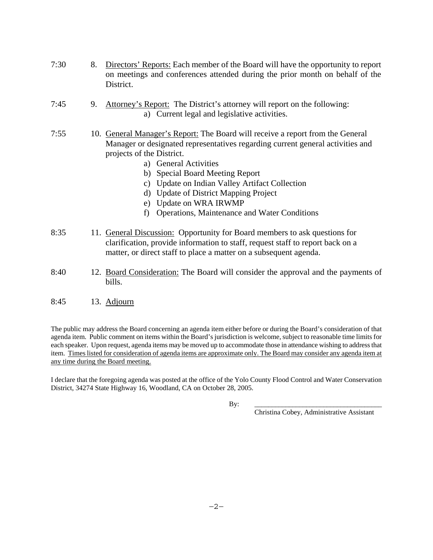- 7:30 8. Directors' Reports: Each member of the Board will have the opportunity to report on meetings and conferences attended during the prior month on behalf of the District.
- 7:45 9. Attorney's Report: The District's attorney will report on the following: a) Current legal and legislative activities.
- 7:55 10. General Manager's Report: The Board will receive a report from the General Manager or designated representatives regarding current general activities and projects of the District.
	- a) General Activities
	- b) Special Board Meeting Report
	- c) Update on Indian Valley Artifact Collection
	- d) Update of District Mapping Project
	- e) Update on WRA IRWMP
	- f) Operations, Maintenance and Water Conditions
- 8:35 11. General Discussion: Opportunity for Board members to ask questions for clarification, provide information to staff, request staff to report back on a matter, or direct staff to place a matter on a subsequent agenda.
- 8:40 12. Board Consideration: The Board will consider the approval and the payments of bills.
- 8:45 13. Adjourn

The public may address the Board concerning an agenda item either before or during the Board's consideration of that agenda item. Public comment on items within the Board's jurisdiction is welcome, subject to reasonable time limits for each speaker. Upon request, agenda items may be moved up to accommodate those in attendance wishing to address that item. Times listed for consideration of agenda items are approximate only. The Board may consider any agenda item at any time during the Board meeting.

I declare that the foregoing agenda was posted at the office of the Yolo County Flood Control and Water Conservation District, 34274 State Highway 16, Woodland, CA on October 28, 2005.

By: \_\_\_\_\_\_\_\_\_\_\_\_\_\_\_\_\_\_\_\_\_\_\_\_\_\_\_\_\_\_\_\_\_\_\_\_\_

Christina Cobey, Administrative Assistant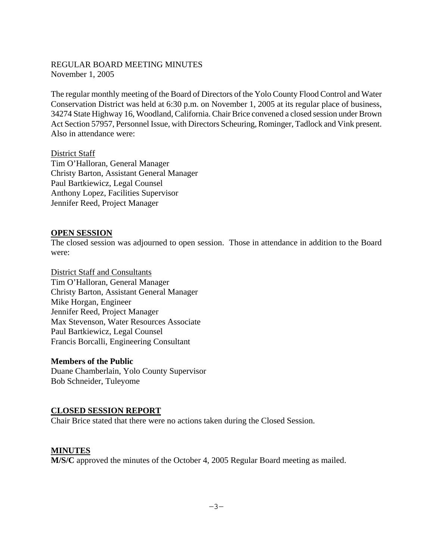### REGULAR BOARD MEETING MINUTES November 1, 2005

The regular monthly meeting of the Board of Directors of the Yolo County Flood Control and Water Conservation District was held at 6:30 p.m. on November 1, 2005 at its regular place of business, 34274 State Highway 16, Woodland, California. Chair Brice convened a closed session under Brown Act Section 57957, Personnel Issue, with Directors Scheuring, Rominger, Tadlock and Vink present. Also in attendance were:

#### District Staff

Tim O'Halloran, General Manager Christy Barton, Assistant General Manager Paul Bartkiewicz, Legal Counsel Anthony Lopez, Facilities Supervisor Jennifer Reed, Project Manager

#### **OPEN SESSION**

The closed session was adjourned to open session. Those in attendance in addition to the Board were:

District Staff and Consultants Tim O'Halloran, General Manager Christy Barton, Assistant General Manager Mike Horgan, Engineer Jennifer Reed, Project Manager Max Stevenson, Water Resources Associate Paul Bartkiewicz, Legal Counsel Francis Borcalli, Engineering Consultant

#### **Members of the Public**

Duane Chamberlain, Yolo County Supervisor Bob Schneider, Tuleyome

## **CLOSED SESSION REPORT**

Chair Brice stated that there were no actions taken during the Closed Session.

## **MINUTES**

**M/S/C** approved the minutes of the October 4, 2005 Regular Board meeting as mailed.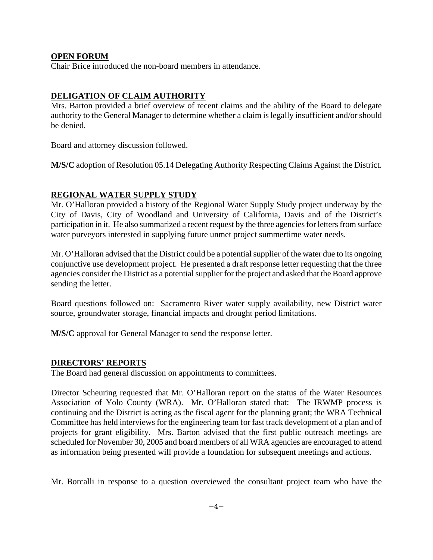### **OPEN FORUM**

Chair Brice introduced the non-board members in attendance.

## **DELIGATION OF CLAIM AUTHORITY**

Mrs. Barton provided a brief overview of recent claims and the ability of the Board to delegate authority to the General Manager to determine whether a claim is legally insufficient and/or should be denied.

Board and attorney discussion followed.

**M/S/C** adoption of Resolution 05.14 Delegating Authority Respecting Claims Against the District.

#### **REGIONAL WATER SUPPLY STUDY**

Mr. O'Halloran provided a history of the Regional Water Supply Study project underway by the City of Davis, City of Woodland and University of California, Davis and of the District's participation in it. He also summarized a recent request by the three agencies for letters from surface water purveyors interested in supplying future unmet project summertime water needs.

Mr. O'Halloran advised that the District could be a potential supplier of the water due to its ongoing conjunctive use development project. He presented a draft response letter requesting that the three agencies consider the District as a potential supplier for the project and asked that the Board approve sending the letter.

Board questions followed on: Sacramento River water supply availability, new District water source, groundwater storage, financial impacts and drought period limitations.

**M/S/C** approval for General Manager to send the response letter.

#### **DIRECTORS' REPORTS**

The Board had general discussion on appointments to committees.

Director Scheuring requested that Mr. O'Halloran report on the status of the Water Resources Association of Yolo County (WRA). Mr. O'Halloran stated that: The IRWMP process is continuing and the District is acting as the fiscal agent for the planning grant; the WRA Technical Committee has held interviews for the engineering team for fast track development of a plan and of projects for grant eligibility. Mrs. Barton advised that the first public outreach meetings are scheduled for November 30, 2005 and board members of all WRA agencies are encouraged to attend as information being presented will provide a foundation for subsequent meetings and actions.

Mr. Borcalli in response to a question overviewed the consultant project team who have the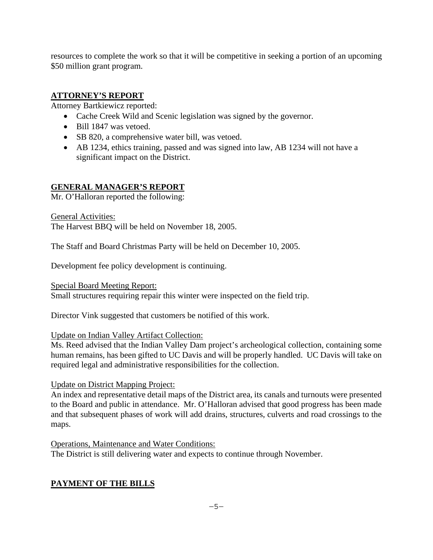resources to complete the work so that it will be competitive in seeking a portion of an upcoming \$50 million grant program.

# **ATTORNEY'S REPORT**

Attorney Bartkiewicz reported:

- Cache Creek Wild and Scenic legislation was signed by the governor.
- Bill 1847 was vetoed.
- SB 820, a comprehensive water bill, was vetoed.
- AB 1234, ethics training, passed and was signed into law, AB 1234 will not have a significant impact on the District.

# **GENERAL MANAGER'S REPORT**

Mr. O'Halloran reported the following:

General Activities: The Harvest BBQ will be held on November 18, 2005.

The Staff and Board Christmas Party will be held on December 10, 2005.

Development fee policy development is continuing.

Special Board Meeting Report: Small structures requiring repair this winter were inspected on the field trip.

Director Vink suggested that customers be notified of this work.

# Update on Indian Valley Artifact Collection:

Ms. Reed advised that the Indian Valley Dam project's archeological collection, containing some human remains, has been gifted to UC Davis and will be properly handled. UC Davis will take on required legal and administrative responsibilities for the collection.

Update on District Mapping Project:

An index and representative detail maps of the District area, its canals and turnouts were presented to the Board and public in attendance. Mr. O'Halloran advised that good progress has been made and that subsequent phases of work will add drains, structures, culverts and road crossings to the maps.

Operations, Maintenance and Water Conditions: The District is still delivering water and expects to continue through November.

# **PAYMENT OF THE BILLS**